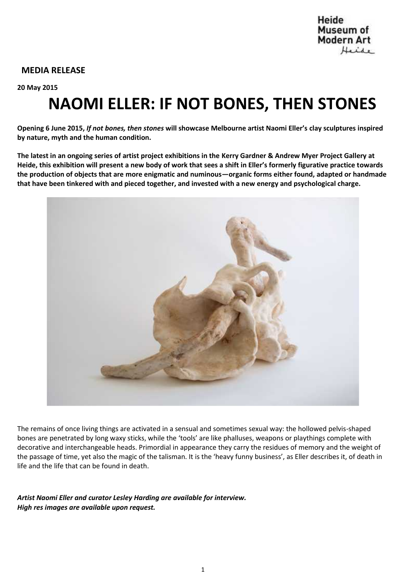### **MEDIA RELEASE**

**20 May 2015**

# **NAOMI ELLER: IF NOT BONES, THEN STONES**

**Opening 6 June 2015,** *If not bones, then stones* **will showcase Melbourne artist Naomi Eller's clay sculptures inspired by nature, myth and the human condition.**

**The latest in an ongoing series of artist project exhibitions in the Kerry Gardner & Andrew Myer Project Gallery at Heide, this exhibition will present a new body of work that sees a shift in Eller's formerly figurative practice towards the production of objects that are more enigmatic and numinous—organic forms either found, adapted or handmade that have been tinkered with and pieced together, and invested with a new energy and psychological charge.**



The remains of once living things are activated in a sensual and sometimes sexual way: the hollowed pelvis-shaped bones are penetrated by long waxy sticks, while the 'tools' are like phalluses, weapons or playthings complete with decorative and interchangeable heads. Primordial in appearance they carry the residues of memory and the weight of the passage of time, yet also the magic of the talisman. It is the 'heavy funny business', as Eller describes it, of death in life and the life that can be found in death.

*Artist Naomi Eller and curator Lesley Harding are available for interview. High res images are available upon request.*